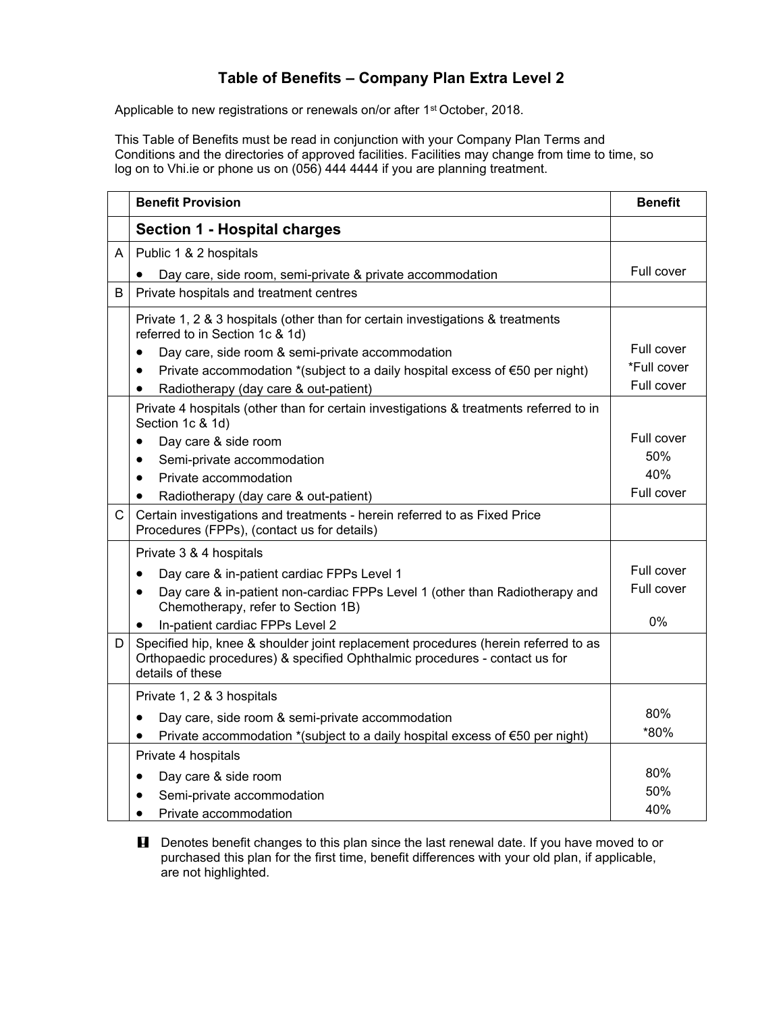## **Table of Benefits – Company Plan Extra Level 2**

Applicable to new registrations or renewals on/or after 1<sup>st</sup> October, 2018.

This Table of Benefits must be read in conjunction with your Company Plan Terms and Conditions and the directories of approved facilities. Facilities may change from time to time, so log on to Vhi.ie or phone us on (056) 444 4444 if you are planning treatment.

|   | <b>Benefit Provision</b>                                                                                                                                                             | <b>Benefit</b> |
|---|--------------------------------------------------------------------------------------------------------------------------------------------------------------------------------------|----------------|
|   | <b>Section 1 - Hospital charges</b>                                                                                                                                                  |                |
| A | Public 1 & 2 hospitals                                                                                                                                                               |                |
|   | Day care, side room, semi-private & private accommodation                                                                                                                            | Full cover     |
| B | Private hospitals and treatment centres                                                                                                                                              |                |
|   | Private 1, 2 & 3 hospitals (other than for certain investigations & treatments<br>referred to in Section 1c & 1d)                                                                    |                |
|   | Day care, side room & semi-private accommodation                                                                                                                                     | Full cover     |
|   | Private accommodation *(subject to a daily hospital excess of $\epsilon$ 50 per night)                                                                                               | *Full cover    |
|   | Radiotherapy (day care & out-patient)<br>$\bullet$                                                                                                                                   | Full cover     |
|   | Private 4 hospitals (other than for certain investigations & treatments referred to in<br>Section 1c & 1d)                                                                           |                |
|   | Day care & side room<br>٠                                                                                                                                                            | Full cover     |
|   | Semi-private accommodation<br>$\bullet$                                                                                                                                              | 50%            |
|   | Private accommodation<br>$\bullet$                                                                                                                                                   | 40%            |
|   | Radiotherapy (day care & out-patient)<br>$\bullet$                                                                                                                                   | Full cover     |
| C | Certain investigations and treatments - herein referred to as Fixed Price<br>Procedures (FPPs), (contact us for details)                                                             |                |
|   | Private 3 & 4 hospitals                                                                                                                                                              |                |
|   | Day care & in-patient cardiac FPPs Level 1<br>$\bullet$                                                                                                                              | Full cover     |
|   | Day care & in-patient non-cardiac FPPs Level 1 (other than Radiotherapy and<br>$\bullet$<br>Chemotherapy, refer to Section 1B)                                                       | Full cover     |
|   | In-patient cardiac FPPs Level 2<br>$\bullet$                                                                                                                                         | 0%             |
| D | Specified hip, knee & shoulder joint replacement procedures (herein referred to as<br>Orthopaedic procedures) & specified Ophthalmic procedures - contact us for<br>details of these |                |
|   | Private 1, 2 & 3 hospitals                                                                                                                                                           |                |
|   | Day care, side room & semi-private accommodation<br>$\bullet$                                                                                                                        | 80%            |
|   | Private accommodation *(subject to a daily hospital excess of €50 per night)                                                                                                         | *80%           |
|   | Private 4 hospitals                                                                                                                                                                  |                |
|   | Day care & side room<br>$\bullet$                                                                                                                                                    | 80%            |
|   | Semi-private accommodation                                                                                                                                                           | 50%            |
|   | Private accommodation<br>$\bullet$                                                                                                                                                   | 40%            |

**H** Denotes benefit changes to this plan since the last renewal date. If you have moved to or purchased this plan for the first time, benefit differences with your old plan, if applicable, are not highlighted.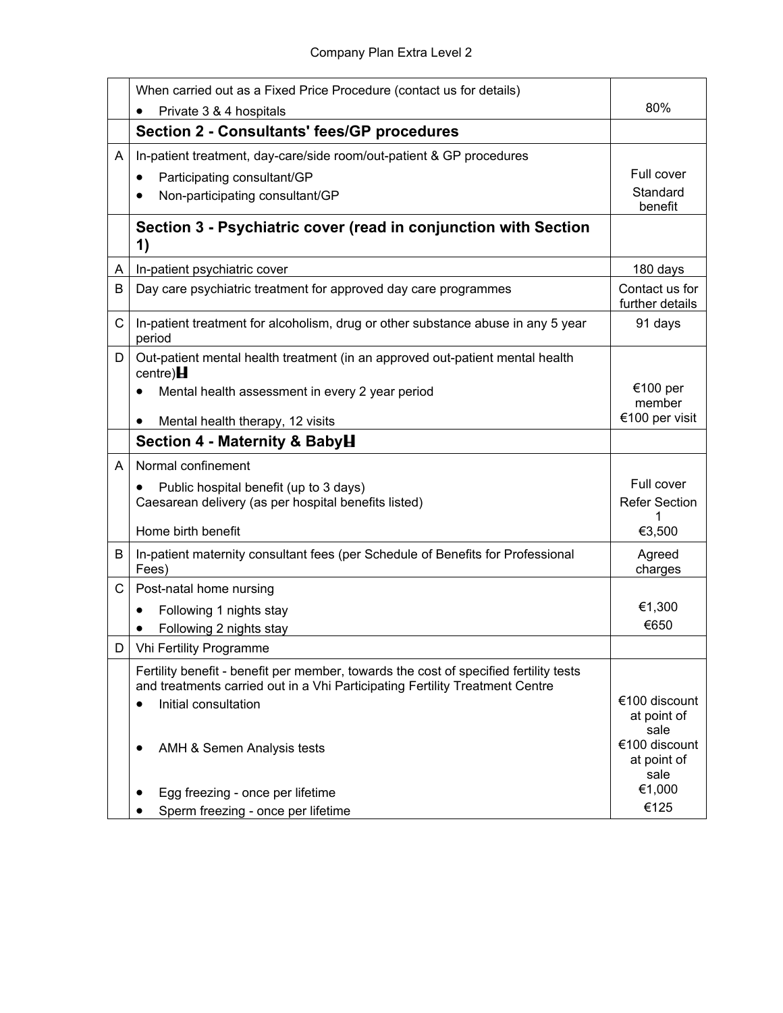|    | When carried out as a Fixed Price Procedure (contact us for details)                                                                                                  |                                      |
|----|-----------------------------------------------------------------------------------------------------------------------------------------------------------------------|--------------------------------------|
|    | Private 3 & 4 hospitals                                                                                                                                               | 80%                                  |
|    | <b>Section 2 - Consultants' fees/GP procedures</b>                                                                                                                    |                                      |
| A  | In-patient treatment, day-care/side room/out-patient & GP procedures                                                                                                  |                                      |
|    | Participating consultant/GP<br>٠                                                                                                                                      | Full cover                           |
|    | Non-participating consultant/GP                                                                                                                                       | Standard<br>benefit                  |
|    | Section 3 - Psychiatric cover (read in conjunction with Section<br>1)                                                                                                 |                                      |
| A  | In-patient psychiatric cover                                                                                                                                          | 180 days                             |
| B  | Day care psychiatric treatment for approved day care programmes                                                                                                       | Contact us for<br>further details    |
| C  | In-patient treatment for alcoholism, drug or other substance abuse in any 5 year<br>period                                                                            | 91 days                              |
| D  | Out-patient mental health treatment (in an approved out-patient mental health<br>centre) $H$                                                                          |                                      |
|    | Mental health assessment in every 2 year period<br>$\bullet$                                                                                                          | €100 per<br>member                   |
|    | Mental health therapy, 12 visits<br>$\bullet$                                                                                                                         | €100 per visit                       |
|    | Section 4 - Maternity & BabyH                                                                                                                                         |                                      |
| A  | Normal confinement                                                                                                                                                    |                                      |
|    | Public hospital benefit (up to 3 days)                                                                                                                                | Full cover                           |
|    | Caesarean delivery (as per hospital benefits listed)                                                                                                                  | <b>Refer Section</b>                 |
|    | Home birth benefit                                                                                                                                                    | €3,500                               |
| B  | In-patient maternity consultant fees (per Schedule of Benefits for Professional<br>Fees)                                                                              | Agreed<br>charges                    |
| C  | Post-natal home nursing                                                                                                                                               |                                      |
|    | Following 1 nights stay<br>$\bullet$                                                                                                                                  | €1,300                               |
|    | Following 2 nights stay                                                                                                                                               | €650                                 |
| D. | <b>Vhi Fertility Programme</b>                                                                                                                                        |                                      |
|    | Fertility benefit - benefit per member, towards the cost of specified fertility tests<br>and treatments carried out in a Vhi Participating Fertility Treatment Centre |                                      |
|    | Initial consultation<br>٠                                                                                                                                             | €100 discount<br>at point of<br>sale |
|    | AMH & Semen Analysis tests                                                                                                                                            | €100 discount<br>at point of<br>sale |
|    | Egg freezing - once per lifetime                                                                                                                                      | €1,000                               |
|    | Sperm freezing - once per lifetime                                                                                                                                    | €125                                 |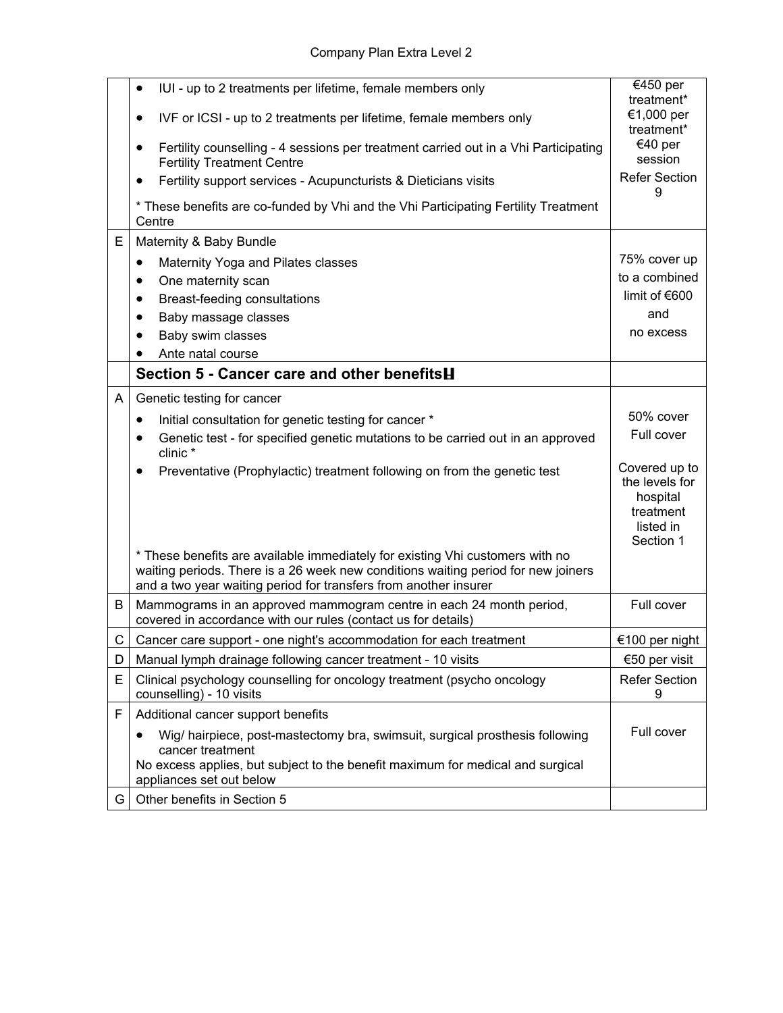|   | IUI - up to 2 treatments per lifetime, female members only<br>$\bullet$                                                                                                                                                                | €450 per                                                                           |
|---|----------------------------------------------------------------------------------------------------------------------------------------------------------------------------------------------------------------------------------------|------------------------------------------------------------------------------------|
|   | IVF or ICSI - up to 2 treatments per lifetime, female members only<br>$\bullet$                                                                                                                                                        | treatment*<br>€1,000 per<br>treatment*                                             |
|   | Fertility counselling - 4 sessions per treatment carried out in a Vhi Participating<br><b>Fertility Treatment Centre</b>                                                                                                               | €40 per<br>session                                                                 |
|   | Fertility support services - Acupuncturists & Dieticians visits<br>$\bullet$                                                                                                                                                           | <b>Refer Section</b><br>9                                                          |
|   | * These benefits are co-funded by Vhi and the Vhi Participating Fertility Treatment<br>Centre                                                                                                                                          |                                                                                    |
| E | Maternity & Baby Bundle                                                                                                                                                                                                                |                                                                                    |
|   | Maternity Yoga and Pilates classes<br>$\bullet$                                                                                                                                                                                        | 75% cover up                                                                       |
|   | One maternity scan<br>$\bullet$                                                                                                                                                                                                        | to a combined                                                                      |
|   | Breast-feeding consultations<br>$\bullet$                                                                                                                                                                                              | limit of $€600$                                                                    |
|   | Baby massage classes<br>$\bullet$                                                                                                                                                                                                      | and                                                                                |
|   | Baby swim classes<br>$\bullet$                                                                                                                                                                                                         | no excess                                                                          |
|   | Ante natal course                                                                                                                                                                                                                      |                                                                                    |
|   | Section 5 - Cancer care and other benefits <b>H</b>                                                                                                                                                                                    |                                                                                    |
| A | Genetic testing for cancer                                                                                                                                                                                                             |                                                                                    |
|   | Initial consultation for genetic testing for cancer *<br>$\bullet$                                                                                                                                                                     | 50% cover                                                                          |
|   | Genetic test - for specified genetic mutations to be carried out in an approved<br>$\bullet$<br>clinic *                                                                                                                               | Full cover                                                                         |
|   | Preventative (Prophylactic) treatment following on from the genetic test                                                                                                                                                               | Covered up to<br>the levels for<br>hospital<br>treatment<br>listed in<br>Section 1 |
|   | * These benefits are available immediately for existing Vhi customers with no<br>waiting periods. There is a 26 week new conditions waiting period for new joiners<br>and a two year waiting period for transfers from another insurer |                                                                                    |
| B | Mammograms in an approved mammogram centre in each 24 month period,<br>covered in accordance with our rules (contact us for details)                                                                                                   | Full cover                                                                         |
| C | Cancer care support - one night's accommodation for each treatment                                                                                                                                                                     | €100 per night                                                                     |
| D | Manual lymph drainage following cancer treatment - 10 visits                                                                                                                                                                           | €50 per visit                                                                      |
| E | Clinical psychology counselling for oncology treatment (psycho oncology<br>counselling) - 10 visits                                                                                                                                    | <b>Refer Section</b><br>9                                                          |
| F | Additional cancer support benefits                                                                                                                                                                                                     |                                                                                    |
|   | Wig/ hairpiece, post-mastectomy bra, swimsuit, surgical prosthesis following<br>cancer treatment<br>No excess applies, but subject to the benefit maximum for medical and surgical                                                     | Full cover                                                                         |
|   | appliances set out below                                                                                                                                                                                                               |                                                                                    |
| G | Other benefits in Section 5                                                                                                                                                                                                            |                                                                                    |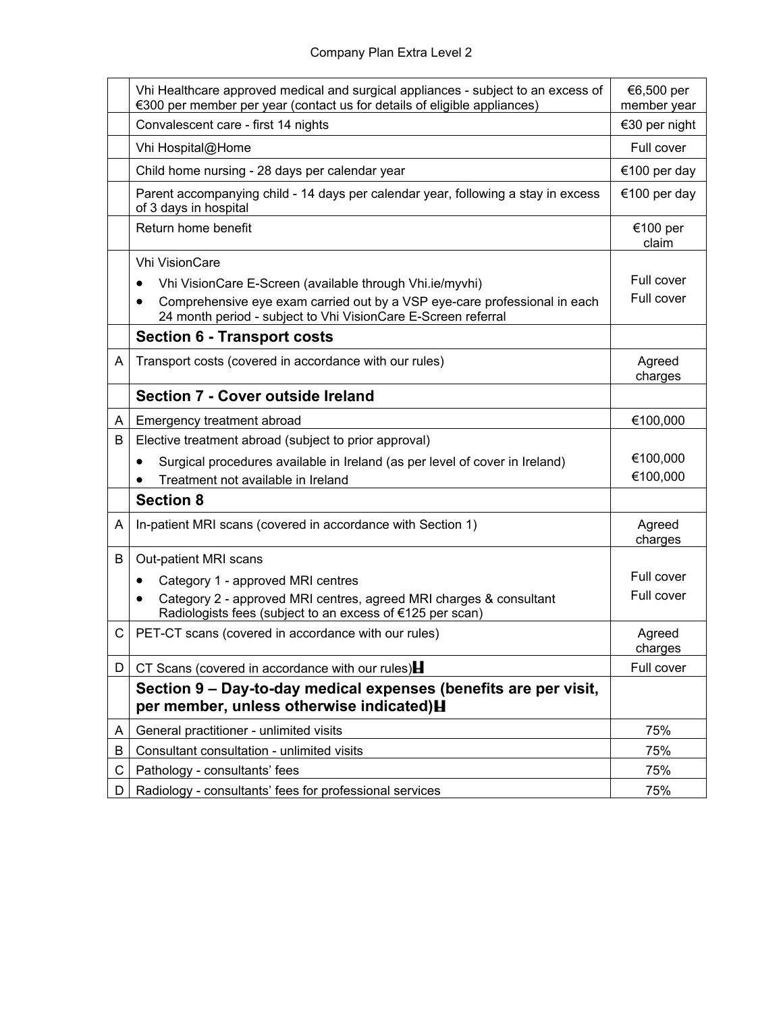|    | Vhi Healthcare approved medical and surgical appliances - subject to an excess of<br>€300 per member per year (contact us for details of eligible appliances) | €6,500 per<br>member year |
|----|---------------------------------------------------------------------------------------------------------------------------------------------------------------|---------------------------|
|    | Convalescent care - first 14 nights                                                                                                                           | €30 per night             |
|    | Vhi Hospital@Home                                                                                                                                             | Full cover                |
|    | Child home nursing - 28 days per calendar year                                                                                                                | €100 per day              |
|    | Parent accompanying child - 14 days per calendar year, following a stay in excess<br>of 3 days in hospital                                                    | €100 per day              |
|    | Return home benefit                                                                                                                                           | €100 per<br>claim         |
|    | <b>Vhi VisionCare</b>                                                                                                                                         |                           |
|    | Vhi VisionCare E-Screen (available through Vhi.ie/myvhi)<br>٠                                                                                                 | Full cover                |
|    | Comprehensive eye exam carried out by a VSP eye-care professional in each<br>$\bullet$<br>24 month period - subject to Vhi VisionCare E-Screen referral       | Full cover                |
|    | <b>Section 6 - Transport costs</b>                                                                                                                            |                           |
| A  | Transport costs (covered in accordance with our rules)                                                                                                        | Agreed<br>charges         |
|    | <b>Section 7 - Cover outside Ireland</b>                                                                                                                      |                           |
| A  | Emergency treatment abroad                                                                                                                                    | €100,000                  |
| B  | Elective treatment abroad (subject to prior approval)                                                                                                         |                           |
|    | Surgical procedures available in Ireland (as per level of cover in Ireland)                                                                                   | €100,000                  |
|    | Treatment not available in Ireland                                                                                                                            | €100,000                  |
|    | <b>Section 8</b>                                                                                                                                              |                           |
| A  | In-patient MRI scans (covered in accordance with Section 1)                                                                                                   | Agreed<br>charges         |
| B  | Out-patient MRI scans                                                                                                                                         |                           |
|    | Category 1 - approved MRI centres<br>٠                                                                                                                        | Full cover                |
|    | Category 2 - approved MRI centres, agreed MRI charges & consultant<br>$\bullet$<br>Radiologists fees (subject to an excess of €125 per scan)                  | Full cover                |
| C  | PET-CT scans (covered in accordance with our rules)                                                                                                           | Agreed<br>charges         |
| D. | CT Scans (covered in accordance with our rules) $\blacksquare$                                                                                                | Full cover                |
|    | Section 9 - Day-to-day medical expenses (benefits are per visit,<br>per member, unless otherwise indicated) H                                                 |                           |
| A  | General practitioner - unlimited visits                                                                                                                       | 75%                       |
| B  | Consultant consultation - unlimited visits                                                                                                                    | 75%                       |
| С  | Pathology - consultants' fees                                                                                                                                 | 75%                       |
| D. | Radiology - consultants' fees for professional services                                                                                                       | 75%                       |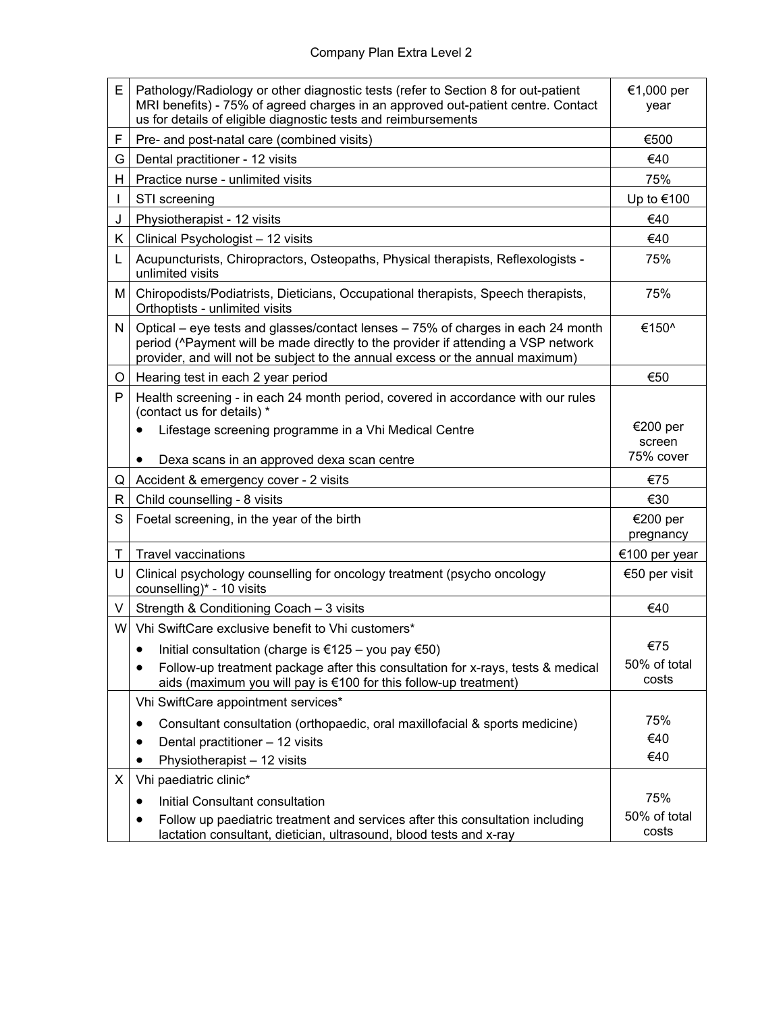| E  | Pathology/Radiology or other diagnostic tests (refer to Section 8 for out-patient<br>MRI benefits) - 75% of agreed charges in an approved out-patient centre. Contact<br>us for details of eligible diagnostic tests and reimbursements                | €1,000 per<br>year    |
|----|--------------------------------------------------------------------------------------------------------------------------------------------------------------------------------------------------------------------------------------------------------|-----------------------|
| F  | Pre- and post-natal care (combined visits)                                                                                                                                                                                                             | €500                  |
| G  | Dental practitioner - 12 visits                                                                                                                                                                                                                        | €40                   |
| H  | Practice nurse - unlimited visits                                                                                                                                                                                                                      | 75%                   |
| L  | STI screening                                                                                                                                                                                                                                          | Up to €100            |
| J  | Physiotherapist - 12 visits                                                                                                                                                                                                                            | €40                   |
| K  | Clinical Psychologist - 12 visits                                                                                                                                                                                                                      | €40                   |
| L  | Acupuncturists, Chiropractors, Osteopaths, Physical therapists, Reflexologists -<br>unlimited visits                                                                                                                                                   | 75%                   |
| M  | Chiropodists/Podiatrists, Dieticians, Occupational therapists, Speech therapists,<br>Orthoptists - unlimited visits                                                                                                                                    | 75%                   |
| N  | Optical – eye tests and glasses/contact lenses – 75% of charges in each 24 month<br>period (^Payment will be made directly to the provider if attending a VSP network<br>provider, and will not be subject to the annual excess or the annual maximum) | €150^                 |
| O  | Hearing test in each 2 year period                                                                                                                                                                                                                     | €50                   |
| P  | Health screening - in each 24 month period, covered in accordance with our rules<br>(contact us for details) *                                                                                                                                         |                       |
|    | Lifestage screening programme in a Vhi Medical Centre                                                                                                                                                                                                  | €200 per              |
|    |                                                                                                                                                                                                                                                        | screen<br>75% cover   |
| Q  | Dexa scans in an approved dexa scan centre<br>Accident & emergency cover - 2 visits                                                                                                                                                                    | €75                   |
| R  | Child counselling - 8 visits                                                                                                                                                                                                                           | €30                   |
| S  | Foetal screening, in the year of the birth                                                                                                                                                                                                             | €200 per              |
|    |                                                                                                                                                                                                                                                        | pregnancy             |
| Т  | <b>Travel vaccinations</b>                                                                                                                                                                                                                             | €100 per year         |
| U  | Clinical psychology counselling for oncology treatment (psycho oncology<br>counselling)* - 10 visits                                                                                                                                                   | €50 per visit         |
| V  | Strength & Conditioning Coach - 3 visits                                                                                                                                                                                                               | €40                   |
| Wl | Vhi SwiftCare exclusive benefit to Vhi customers*                                                                                                                                                                                                      |                       |
|    | • Initial consultation (charge is $\epsilon$ 125 – you pay $\epsilon$ 50)                                                                                                                                                                              | €75                   |
|    | Follow-up treatment package after this consultation for x-rays, tests & medical<br>aids (maximum you will pay is €100 for this follow-up treatment)                                                                                                    | 50% of total<br>costs |
|    | Vhi SwiftCare appointment services*                                                                                                                                                                                                                    |                       |
|    | Consultant consultation (orthopaedic, oral maxillofacial & sports medicine)                                                                                                                                                                            | 75%                   |
|    | Dental practitioner - 12 visits                                                                                                                                                                                                                        | €40                   |
|    | Physiotherapist - 12 visits                                                                                                                                                                                                                            | €40                   |
| Х  | Vhi paediatric clinic*                                                                                                                                                                                                                                 |                       |
|    | Initial Consultant consultation<br>٠                                                                                                                                                                                                                   | 75%                   |
|    | Follow up paediatric treatment and services after this consultation including<br>lactation consultant, dietician, ultrasound, blood tests and x-ray                                                                                                    | 50% of total<br>costs |